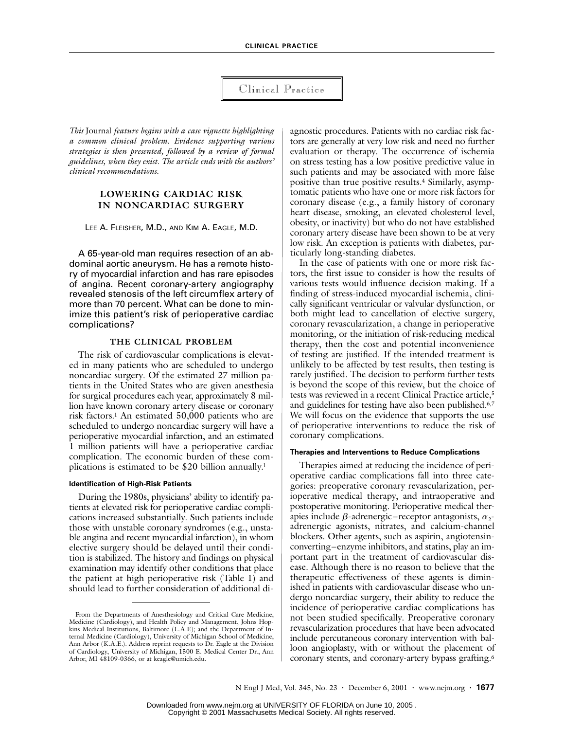# Clinical Practice

*This* Journal *feature begins with a case vignette highlighting a common clinical problem. Evidence supporting various strategies is then presented, followed by a review of formal guidelines, when they exist. The article ends with the authors' clinical recommendations.*

# **LOWERING CARDIAC RISK IN NONCARDIAC SURGERY**

LEE A. FLEISHER, M.D., AND KIM A. EAGLE, M.D.

A 65-year-old man requires resection of an abdominal aortic aneurysm. He has a remote history of myocardial infarction and has rare episodes of angina. Recent coronary-artery angiography revealed stenosis of the left circumflex artery of more than 70 percent. What can be done to minimize this patient's risk of perioperative cardiac complications?

## **THE CLINICAL PROBLEM**

The risk of cardiovascular complications is elevated in many patients who are scheduled to undergo noncardiac surgery. Of the estimated 27 million patients in the United States who are given anesthesia for surgical procedures each year, approximately 8 million have known coronary artery disease or coronary risk factors.1 An estimated 50,000 patients who are scheduled to undergo noncardiac surgery will have a perioperative myocardial infarction, and an estimated 1 million patients will have a perioperative cardiac complication. The economic burden of these complications is estimated to be \$20 billion annually.1

### **Identification of High-Risk Patients**

During the 1980s, physicians' ability to identify patients at elevated risk for perioperative cardiac complications increased substantially. Such patients include those with unstable coronary syndromes (e.g., unstable angina and recent myocardial infarction), in whom elective surgery should be delayed until their condition is stabilized. The history and findings on physical examination may identify other conditions that place the patient at high perioperative risk (Table 1) and should lead to further consideration of additional diagnostic procedures. Patients with no cardiac risk factors are generally at very low risk and need no further evaluation or therapy. The occurrence of ischemia on stress testing has a low positive predictive value in such patients and may be associated with more false positive than true positive results.4 Similarly, asymptomatic patients who have one or more risk factors for coronary disease (e.g., a family history of coronary heart disease, smoking, an elevated cholesterol level, obesity, or inactivity) but who do not have established coronary artery disease have been shown to be at very low risk. An exception is patients with diabetes, particularly long-standing diabetes.

In the case of patients with one or more risk factors, the first issue to consider is how the results of various tests would influence decision making. If a finding of stress-induced myocardial ischemia, clinically significant ventricular or valvular dysfunction, or both might lead to cancellation of elective surgery, coronary revascularization, a change in perioperative monitoring, or the initiation of risk-reducing medical therapy, then the cost and potential inconvenience of testing are justified. If the intended treatment is unlikely to be affected by test results, then testing is rarely justified. The decision to perform further tests is beyond the scope of this review, but the choice of tests was reviewed in a recent Clinical Practice article,<sup>5</sup> and guidelines for testing have also been published.6,7 We will focus on the evidence that supports the use of perioperative interventions to reduce the risk of coronary complications.

### **Therapies and Interventions to Reduce Complications**

Therapies aimed at reducing the incidence of perioperative cardiac complications fall into three categories: preoperative coronary revascularization, perioperative medical therapy, and intraoperative and postoperative monitoring. Perioperative medical therapies include  $\beta$ -adrenergic–receptor antagonists,  $\alpha_2$ adrenergic agonists, nitrates, and calcium-channel blockers. Other agents, such as aspirin, angiotensinconverting–enzyme inhibitors, and statins, play an important part in the treatment of cardiovascular disease. Although there is no reason to believe that the therapeutic effectiveness of these agents is diminished in patients with cardiovascular disease who undergo noncardiac surgery, their ability to reduce the incidence of perioperative cardiac complications has not been studied specifically. Preoperative coronary revascularization procedures that have been advocated include percutaneous coronary intervention with balloon angioplasty, with or without the placement of coronary stents, and coronary-artery bypass grafting.6

From the Departments of Anesthesiology and Critical Care Medicine, Medicine (Cardiology), and Health Policy and Management, Johns Hopkins Medical Institutions, Baltimore (L.A.F.); and the Department of Internal Medicine (Cardiology), University of Michigan School of Medicine, Ann Arbor (K.A.E.). Address reprint requests to Dr. Eagle at the Division of Cardiology, University of Michigan, 1500 E. Medical Center Dr., Ann Arbor, MI 48109-0366, or at keagle@umich.edu.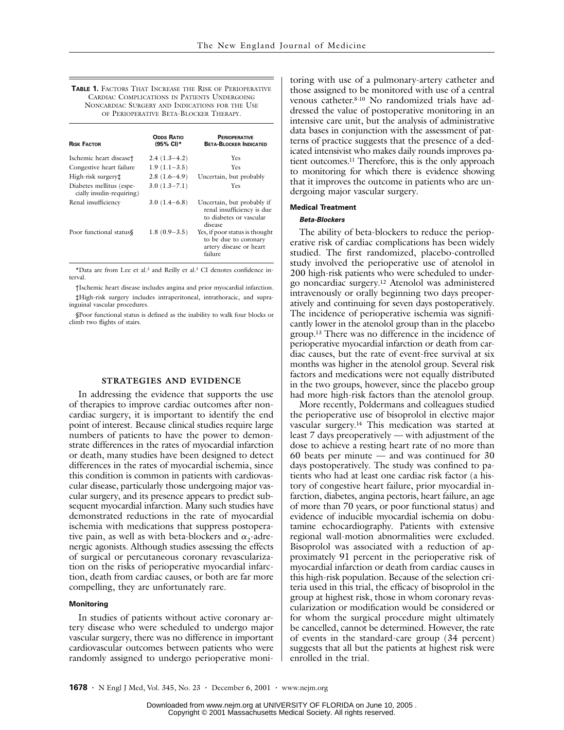| <b>TABLE 1. FACTORS THAT INCREASE THE RISK OF PERIOPERATIVE</b> |
|-----------------------------------------------------------------|
| CARDIAC COMPLICATIONS IN PATIENTS UNDERGOING                    |
| NONCARDIAC SURGERY AND INDICATIONS FOR THE USE                  |
| OF PERIOPERATIVE BETA-BLOCKER THERAPY.                          |

| <b>RISK FACTOR</b>                                    | <b>ODDS RATIO</b><br>(95% CI)* | <b>PERIOPERATIVE</b><br><b>BETA-BLOCKER INDICATED</b>                                          |
|-------------------------------------------------------|--------------------------------|------------------------------------------------------------------------------------------------|
| Ischemic heart disease†                               | $2.4(1.3-4.2)$                 | <b>Yes</b>                                                                                     |
| Congestive heart failure                              | $1.9(1.1-3.5)$                 | Yes                                                                                            |
| High-risk surgery <sup>+</sup>                        | $2.8(1.6-4.9)$                 | Uncertain, but probably                                                                        |
| Diabetes mellitus (espe-<br>cially insulin-requiring) | $3.0(1.3-7.1)$                 | Yes                                                                                            |
| Renal insufficiency                                   | $3.0(1.4-6.8)$                 | Uncertain, but probably if<br>renal insufficiency is due<br>to diabetes or vascular<br>disease |
| Poor functional status                                | $1.8(0.9-3.5)$                 | Yes, if poor status is thought<br>to be due to coronary<br>artery disease or heart<br>failure  |

\*Data are from Lee et al.2 and Reilly et al.3 CI denotes confidence interval.

†Ischemic heart disease includes angina and prior myocardial infarction. ‡High-risk surgery includes intraperitoneal, intrathoracic, and suprainguinal vascular procedures.

§Poor functional status is defined as the inability to walk four blocks or climb two flights of stairs.

## **STRATEGIES AND EVIDENCE**

In addressing the evidence that supports the use of therapies to improve cardiac outcomes after noncardiac surgery, it is important to identify the end point of interest. Because clinical studies require large numbers of patients to have the power to demonstrate differences in the rates of myocardial infarction or death, many studies have been designed to detect differences in the rates of myocardial ischemia, since this condition is common in patients with cardiovascular disease, particularly those undergoing major vascular surgery, and its presence appears to predict subsequent myocardial infarction. Many such studies have demonstrated reductions in the rate of myocardial ischemia with medications that suppress postoperative pain, as well as with beta-blockers and  $\alpha_2$ -adrenergic agonists. Although studies assessing the effects of surgical or percutaneous coronary revascularization on the risks of perioperative myocardial infarction, death from cardiac causes, or both are far more compelling, they are unfortunately rare.

## **Monitoring**

In studies of patients without active coronary artery disease who were scheduled to undergo major vascular surgery, there was no difference in important cardiovascular outcomes between patients who were randomly assigned to undergo perioperative monitoring with use of a pulmonary-artery catheter and those assigned to be monitored with use of a central venous catheter.8-10 No randomized trials have addressed the value of postoperative monitoring in an intensive care unit, but the analysis of administrative data bases in conjunction with the assessment of patterns of practice suggests that the presence of a dedicated intensivist who makes daily rounds improves patient outcomes.11 Therefore, this is the only approach to monitoring for which there is evidence showing that it improves the outcome in patients who are undergoing major vascular surgery.

## **Medical Treatment**

### *Beta-Blockers*

The ability of beta-blockers to reduce the perioperative risk of cardiac complications has been widely studied. The first randomized, placebo-controlled study involved the perioperative use of atenolol in 200 high-risk patients who were scheduled to undergo noncardiac surgery.12 Atenolol was administered intravenously or orally beginning two days preoperatively and continuing for seven days postoperatively. The incidence of perioperative ischemia was significantly lower in the atenolol group than in the placebo group.13 There was no difference in the incidence of perioperative myocardial infarction or death from cardiac causes, but the rate of event-free survival at six months was higher in the atenolol group. Several risk factors and medications were not equally distributed in the two groups, however, since the placebo group had more high-risk factors than the atenolol group.

More recently, Poldermans and colleagues studied the perioperative use of bisoprolol in elective major vascular surgery.14 This medication was started at least 7 days preoperatively — with adjustment of the dose to achieve a resting heart rate of no more than 60 beats per minute — and was continued for 30 days postoperatively. The study was confined to patients who had at least one cardiac risk factor (a history of congestive heart failure, prior myocardial infarction, diabetes, angina pectoris, heart failure, an age of more than 70 years, or poor functional status) and evidence of inducible myocardial ischemia on dobutamine echocardiography. Patients with extensive regional wall-motion abnormalities were excluded. Bisoprolol was associated with a reduction of approximately 91 percent in the perioperative risk of myocardial infarction or death from cardiac causes in this high-risk population. Because of the selection criteria used in this trial, the efficacy of bisoprolol in the group at highest risk, those in whom coronary revascularization or modification would be considered or for whom the surgical procedure might ultimately be cancelled, cannot be determined. However, the rate of events in the standard-care group (34 percent) suggests that all but the patients at highest risk were enrolled in the trial.

## **1678 ·** N Engl J Med, Vol. 345, No. 23 **·** December 6, 2001 **·** www.nejm.org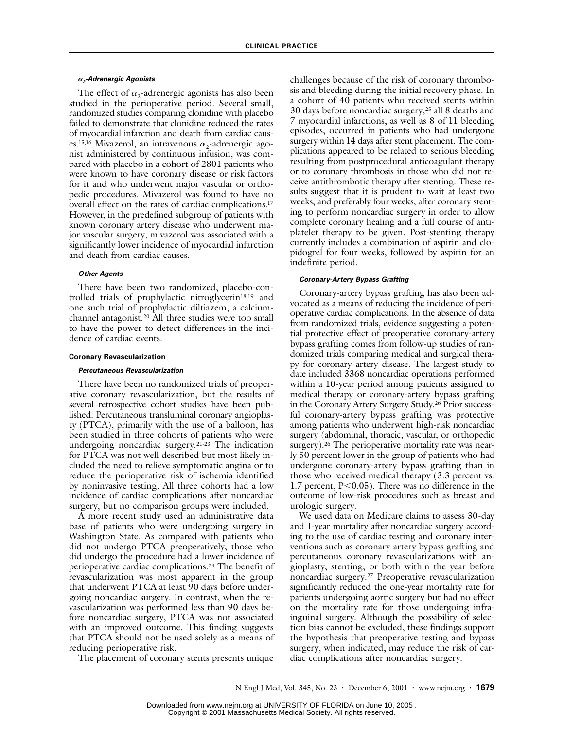#### *a2-Adrenergic Agonists*

The effect of  $\alpha_2$ -adrenergic agonists has also been studied in the perioperative period. Several small, randomized studies comparing clonidine with placebo failed to demonstrate that clonidine reduced the rates of myocardial infarction and death from cardiac causes.<sup>15,16</sup> Mivazerol, an intravenous  $\alpha$ <sup>2</sup>-adrenergic agonist administered by continuous infusion, was compared with placebo in a cohort of 2801 patients who were known to have coronary disease or risk factors for it and who underwent major vascular or orthopedic procedures. Mivazerol was found to have no overall effect on the rates of cardiac complications.17 However, in the predefined subgroup of patients with known coronary artery disease who underwent major vascular surgery, mivazerol was associated with a significantly lower incidence of myocardial infarction and death from cardiac causes.

### *Other Agents*

There have been two randomized, placebo-controlled trials of prophylactic nitroglycerin<sup>18,19</sup> and one such trial of prophylactic diltiazem, a calciumchannel antagonist.20 All three studies were too small to have the power to detect differences in the incidence of cardiac events.

#### **Coronary Revascularization**

### *Percutaneous Revascularization*

There have been no randomized trials of preoperative coronary revascularization, but the results of several retrospective cohort studies have been published. Percutaneous transluminal coronary angioplasty (PTCA), primarily with the use of a balloon, has been studied in three cohorts of patients who were undergoing noncardiac surgery.21-23 The indication for PTCA was not well described but most likely included the need to relieve symptomatic angina or to reduce the perioperative risk of ischemia identified by noninvasive testing. All three cohorts had a low incidence of cardiac complications after noncardiac surgery, but no comparison groups were included.

A more recent study used an administrative data base of patients who were undergoing surgery in Washington State. As compared with patients who did not undergo PTCA preoperatively, those who did undergo the procedure had a lower incidence of perioperative cardiac complications.24 The benefit of revascularization was most apparent in the group that underwent PTCA at least 90 days before undergoing noncardiac surgery. In contrast, when the revascularization was performed less than 90 days before noncardiac surgery, PTCA was not associated with an improved outcome. This finding suggests that PTCA should not be used solely as a means of reducing perioperative risk.

The placement of coronary stents presents unique

challenges because of the risk of coronary thrombosis and bleeding during the initial recovery phase. In a cohort of 40 patients who received stents within 30 days before noncardiac surgery,25 all 8 deaths and 7 myocardial infarctions, as well as 8 of 11 bleeding episodes, occurred in patients who had undergone surgery within 14 days after stent placement. The complications appeared to be related to serious bleeding resulting from postprocedural anticoagulant therapy or to coronary thrombosis in those who did not receive antithrombotic therapy after stenting. These results suggest that it is prudent to wait at least two weeks, and preferably four weeks, after coronary stenting to perform noncardiac surgery in order to allow complete coronary healing and a full course of antiplatelet therapy to be given. Post-stenting therapy currently includes a combination of aspirin and clopidogrel for four weeks, followed by aspirin for an indefinite period.

### *Coronary-Artery Bypass Grafting*

Coronary-artery bypass grafting has also been advocated as a means of reducing the incidence of perioperative cardiac complications. In the absence of data from randomized trials, evidence suggesting a potential protective effect of preoperative coronary-artery bypass grafting comes from follow-up studies of randomized trials comparing medical and surgical therapy for coronary artery disease. The largest study to date included 3368 noncardiac operations performed within a 10-year period among patients assigned to medical therapy or coronary-artery bypass grafting in the Coronary Artery Surgery Study.26 Prior successful coronary-artery bypass grafting was protective among patients who underwent high-risk noncardiac surgery (abdominal, thoracic, vascular, or orthopedic surgery).<sup>26</sup> The perioperative mortality rate was nearly 50 percent lower in the group of patients who had undergone coronary-artery bypass grafting than in those who received medical therapy (3.3 percent vs. 1.7 percent, P<0.05). There was no difference in the outcome of low-risk procedures such as breast and urologic surgery.

We used data on Medicare claims to assess 30-day and 1-year mortality after noncardiac surgery according to the use of cardiac testing and coronary interventions such as coronary-artery bypass grafting and percutaneous coronary revascularizations with angioplasty, stenting, or both within the year before noncardiac surgery.27 Preoperative revascularization significantly reduced the one-year mortality rate for patients undergoing aortic surgery but had no effect on the mortality rate for those undergoing infrainguinal surgery. Although the possibility of selection bias cannot be excluded, these findings support the hypothesis that preoperative testing and bypass surgery, when indicated, may reduce the risk of cardiac complications after noncardiac surgery.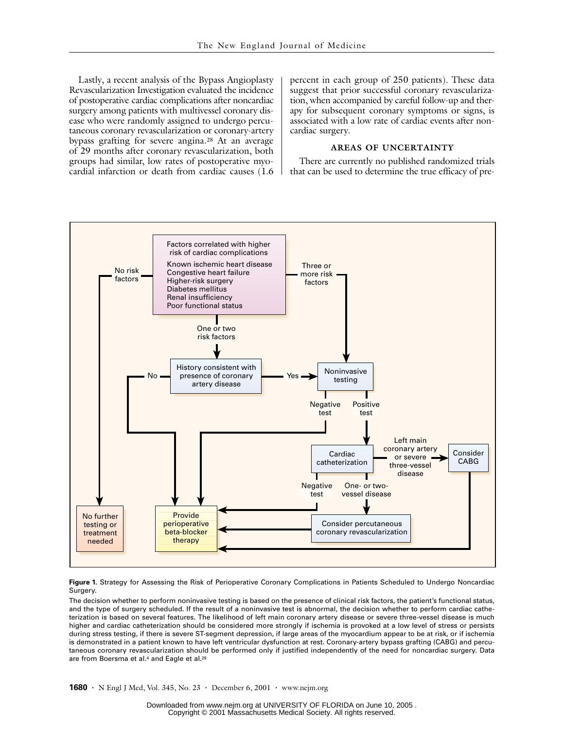Lastly, a recent analysis of the Bypass Angioplasty Revascularization Investigation evaluated the incidence of postoperative cardiac complications after noncardiac surgery among patients with multivessel coronary disease who were randomly assigned to undergo percutaneous coronary revascularization or coronary-artery bypass grafting for severe angina.28 At an average of 29 months after coronary revascularization, both groups had similar, low rates of postoperative myocardial infarction or death from cardiac causes (1.6 percent in each group of 250 patients). These data suggest that prior successful coronary revascularization, when accompanied by careful follow-up and therapy for subsequent coronary symptoms or signs, is associated with a low rate of cardiac events after noncardiac surgery.

## **AREAS OF UNCERTAINTY**

There are currently no published randomized trials that can be used to determine the true efficacy of pre-



**Figure 1.** Strategy for Assessing the Risk of Perioperative Coronary Complications in Patients Scheduled to Undergo Noncardiac Surgery.

The decision whether to perform noninvasive testing is based on the presence of clinical risk factors, the patient's functional status, and the type of surgery scheduled. If the result of a noninvasive test is abnormal, the decision whether to perform cardiac catheterization is based on several features. The likelihood of left main coronary artery disease or severe three-vessel disease is much higher and cardiac catheterization should be considered more strongly if ischemia is provoked at a low level of stress or persists during stress testing, if there is severe ST-segment depression, if large areas of the myocardium appear to be at risk, or if ischemia is demonstrated in a patient known to have left ventricular dysfunction at rest. Coronary-artery bypass grafting (CABG) and percutaneous coronary revascularization should be performed only if justified independently of the need for noncardiac surgery. Data are from Boersma et al.<sup>4</sup> and Eagle et al.<sup>29</sup>

**1680 ·** N Engl J Med, Vol. 345, No. 23 **·** December 6, 2001 **·** www.nejm.org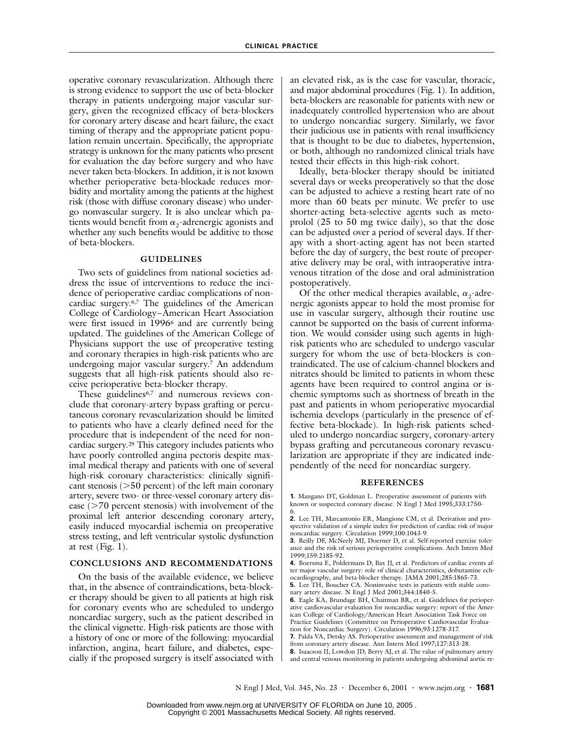operative coronary revascularization. Although there is strong evidence to support the use of beta-blocker therapy in patients undergoing major vascular surgery, given the recognized efficacy of beta-blockers for coronary artery disease and heart failure, the exact timing of therapy and the appropriate patient population remain uncertain. Specifically, the appropriate strategy is unknown for the many patients who present for evaluation the day before surgery and who have never taken beta-blockers. In addition, it is not known whether perioperative beta-blockade reduces morbidity and mortality among the patients at the highest risk (those with diffuse coronary disease) who undergo nonvascular surgery. It is also unclear which patients would benefit from  $\alpha_2$ -adrenergic agonists and whether any such benefits would be additive to those of beta-blockers.

## **GUIDELINES**

Two sets of guidelines from national societies address the issue of interventions to reduce the incidence of perioperative cardiac complications of noncardiac surgery.6,7 The guidelines of the American College of Cardiology–American Heart Association were first issued in 1996<sup>6</sup> and are currently being updated. The guidelines of the American College of Physicians support the use of preoperative testing and coronary therapies in high-risk patients who are undergoing major vascular surgery.7 An addendum suggests that all high-risk patients should also receive perioperative beta-blocker therapy.

These guidelines<sup>6,7</sup> and numerous reviews conclude that coronary-artery bypass grafting or percutaneous coronary revascularization should be limited to patients who have a clearly defined need for the procedure that is independent of the need for noncardiac surgery.29 This category includes patients who have poorly controlled angina pectoris despite maximal medical therapy and patients with one of several high-risk coronary characteristics: clinically significant stenosis  $(>=50$  percent) of the left main coronary artery, severe two- or three-vessel coronary artery disease (>70 percent stenosis) with involvement of the proximal left anterior descending coronary artery, easily induced myocardial ischemia on preoperative stress testing, and left ventricular systolic dysfunction at rest  $(Fig. 1)$ .

## **CONCLUSIONS AND RECOMMENDATIONS**

On the basis of the available evidence, we believe that, in the absence of contraindications, beta-blocker therapy should be given to all patients at high risk for coronary events who are scheduled to undergo noncardiac surgery, such as the patient described in the clinical vignette. High-risk patients are those with a history of one or more of the following: myocardial infarction, angina, heart failure, and diabetes, especially if the proposed surgery is itself associated with an elevated risk, as is the case for vascular, thoracic, and major abdominal procedures (Fig. 1). In addition, beta-blockers are reasonable for patients with new or inadequately controlled hypertension who are about to undergo noncardiac surgery. Similarly, we favor their judicious use in patients with renal insufficiency that is thought to be due to diabetes, hypertension, or both, although no randomized clinical trials have tested their effects in this high-risk cohort.

Ideally, beta-blocker therapy should be initiated several days or weeks preoperatively so that the dose can be adjusted to achieve a resting heart rate of no more than 60 beats per minute. We prefer to use shorter-acting beta-selective agents such as metoprolol (25 to 50 mg twice daily), so that the dose can be adjusted over a period of several days. If therapy with a short-acting agent has not been started before the day of surgery, the best route of preoperative delivery may be oral, with intraoperative intravenous titration of the dose and oral administration postoperatively.

Of the other medical therapies available,  $\alpha_2$ -adrenergic agonists appear to hold the most promise for use in vascular surgery, although their routine use cannot be supported on the basis of current information. We would consider using such agents in highrisk patients who are scheduled to undergo vascular surgery for whom the use of beta-blockers is contraindicated. The use of calcium-channel blockers and nitrates should be limited to patients in whom these agents have been required to control angina or ischemic symptoms such as shortness of breath in the past and patients in whom perioperative myocardial ischemia develops (particularly in the presence of effective beta-blockade). In high-risk patients scheduled to undergo noncardiac surgery, coronary-artery bypass grafting and percutaneous coronary revascularization are appropriate if they are indicated independently of the need for noncardiac surgery.

### **REFERENCES**

**1.** Mangano DT, Goldman L. Preoperative assessment of patients with known or suspected coronary disease. N Engl J Med 1995;333:1750-

6. **2.** Lee TH, Marcantonio ER, Mangione CM, et al. Derivation and prospective validation of a simple index for prediction of cardiac risk of major noncardiac surgery. Circulation 1999;100:1043-9.

**3.** Reilly DF, McNeely MJ, Doerner D, et al. Self-reported exercise tolerance and the risk of serious perioperative complications. Arch Intern Med 1999;159:2185-92.

**4.** Boersma E, Poldermans D, Bax JJ, et al. Predictors of cardiac events after major vascular surgery: role of clinical characteristics, dobutamine echocardiography, and beta-blocker therapy. JAMA 2001;285:1865-73. **5.** Lee TH, Boucher CA. Noninvasive tests in patients with stable coro-

nary artery disease. N Engl J Med 2001;344:1840-5. **6.** Eagle KA, Brundage BH, Chaitman BR, et al. Guidelines for perioperative cardiovascular evaluation for noncardiac surgery: report of the American College of Cardiology/American Heart Association Task Force on Practice Guidelines (Committee on Perioperative Cardiovascular Evaluation for Noncardiac Surgery). Circulation 1996;93:1278-317.

**7.** Palda VA, Detsky AS. Perioperative assessment and management of risk from coronary artery disease. Ann Intern Med 1997;127:313-28. **8.** Isaacson IJ, Lowdon JD, Berry AJ, et al. The value of pulmonary artery

and central venous monitoring in patients undergoing abdominal aortic re-